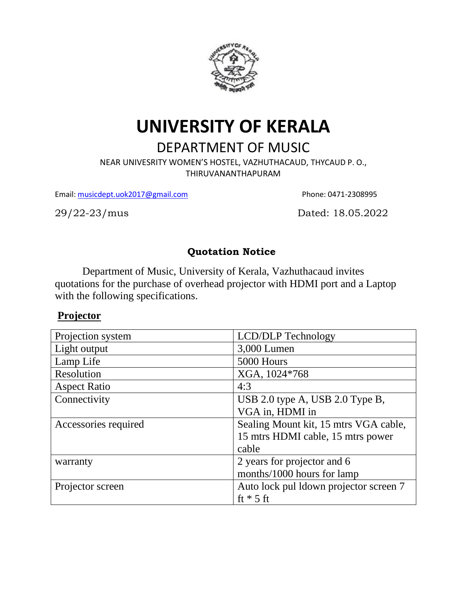

# **UNIVERSITY OF KERALA**

## DEPARTMENT OF MUSIC

NEAR UNIVESRITY WOMEN'S HOSTEL, VAZHUTHACAUD, THYCAUD P. O., THIRUVANANTHAPURAM

Email: [musicdept.uok2017@gmail.com](mailto:musicdept.uok2017@gmail.com) Phone: 0471-2308995

29/22-23/musDated: 18.05.2022

#### **Quotation Notice**

Department of Music, University of Kerala, Vazhuthacaud invites quotations for the purchase of overhead projector with HDMI port and a Laptop with the following specifications.

### **Projector**

| Projection system    | <b>LCD/DLP</b> Technology              |
|----------------------|----------------------------------------|
| Light output         | 3,000 Lumen                            |
| Lamp Life            | 5000 Hours                             |
| Resolution           | XGA, 1024*768                          |
| <b>Aspect Ratio</b>  | 4:3                                    |
| Connectivity         | USB 2.0 type A, USB 2.0 Type B,        |
|                      | VGA in, HDMI in                        |
| Accessories required | Sealing Mount kit, 15 mtrs VGA cable,  |
|                      | 15 mtrs HDMI cable, 15 mtrs power      |
|                      | cable                                  |
| warranty             | 2 years for projector and 6            |
|                      | months/1000 hours for lamp             |
| Projector screen     | Auto lock pul ldown projector screen 7 |
|                      | ft $*$ 5 ft                            |